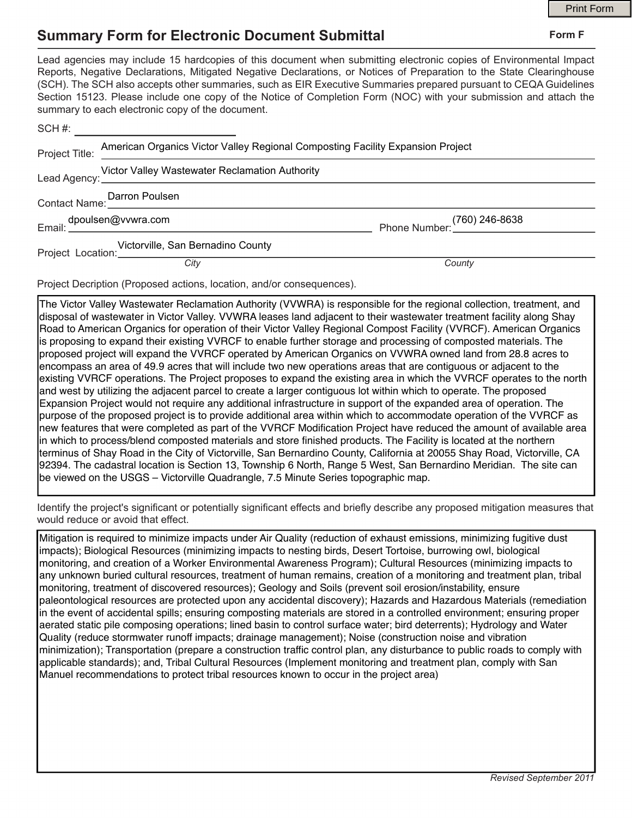## **Summary Form for Electronic Document Submittal**

|  |                                                                                                                                                                                                                                                                                                                                                                                                                                                                                                                                           |        | <b>Print Form</b> |
|--|-------------------------------------------------------------------------------------------------------------------------------------------------------------------------------------------------------------------------------------------------------------------------------------------------------------------------------------------------------------------------------------------------------------------------------------------------------------------------------------------------------------------------------------------|--------|-------------------|
|  | <b>Summary Form for Electronic Document Submittal</b>                                                                                                                                                                                                                                                                                                                                                                                                                                                                                     |        | Form F            |
|  | Lead agencies may include 15 hardcopies of this document when submitting electronic copies of Environmental Impact<br>Reports, Negative Declarations, Mitigated Negative Declarations, or Notices of Preparation to the State Clearinghouse<br>(SCH). The SCH also accepts other summaries, such as EIR Executive Summaries prepared pursuant to CEQA Guidelines<br>Section 15123. Please include one copy of the Notice of Completion Form (NOC) with your submission and attach the<br>summary to each electronic copy of the document. |        |                   |
|  | $SCH #:$ _________________________                                                                                                                                                                                                                                                                                                                                                                                                                                                                                                        |        |                   |
|  | Project Title: American Organics Victor Valley Regional Composting Facility Expansion Project                                                                                                                                                                                                                                                                                                                                                                                                                                             |        |                   |
|  |                                                                                                                                                                                                                                                                                                                                                                                                                                                                                                                                           |        |                   |
|  | Contact Name: Darron Poulsen                                                                                                                                                                                                                                                                                                                                                                                                                                                                                                              |        |                   |
|  |                                                                                                                                                                                                                                                                                                                                                                                                                                                                                                                                           |        |                   |
|  | Victorville, San Bernadino County                                                                                                                                                                                                                                                                                                                                                                                                                                                                                                         |        |                   |
|  | City                                                                                                                                                                                                                                                                                                                                                                                                                                                                                                                                      | County |                   |

Project Decription (Proposed actions, location, and/or consequences).

The Victor Valley Wastewater Reclamation Authority (VVWRA) is responsible for the regional collection, treatment, and disposal of wastewater in Victor Valley. VVWRA leases land adjacent to their wastewater treatment facility along Shay Road to American Organics for operation of their Victor Valley Regional Compost Facility (VVRCF). American Organics is proposing to expand their existing VVRCF to enable further storage and processing of composted materials. The proposed project will expand the VVRCF operated by American Organics on VVWRA owned land from 28.8 acres to encompass an area of 49.9 acres that will include two new operations areas that are contiguous or adjacent to the existing VVRCF operations. The Project proposes to expand the existing area in which the VVRCF operates to the north and west by utilizing the adjacent parcel to create a larger contiguous lot within which to operate. The proposed Expansion Project would not require any additional infrastructure in support of the expanded area of operation. The purpose of the proposed project is to provide additional area within which to accommodate operation of the VVRCF as new features that were completed as part of the VVRCF Modification Project have reduced the amount of available area in which to process/blend composted materials and store finished products. The Facility is located at the northern terminus of Shay Road in the City of Victorville, San Bernardino County, California at 20055 Shay Road, Victorville, CA 92394. The cadastral location is Section 13, Township 6 North, Range 5 West, San Bernardino Meridian. The site can be viewed on the USGS – Victorville Quadrangle, 7.5 Minute Series topographic map.

Identify the project's signifcant or potentially signifcant effects and briefy describe any proposed mitigation measures that would reduce or avoid that effect.

Mitigation is required to minimize impacts under Air Quality (reduction of exhaust emissions, minimizing fugitive dust impacts); Biological Resources (minimizing impacts to nesting birds, Desert Tortoise, burrowing owl, biological monitoring, and creation of a Worker Environmental Awareness Program); Cultural Resources (minimizing impacts to any unknown buried cultural resources, treatment of human remains, creation of a monitoring and treatment plan, tribal monitoring, treatment of discovered resources); Geology and Soils (prevent soil erosion/instability, ensure paleontological resources are protected upon any accidental discovery); Hazards and Hazardous Materials (remediation in the event of accidental spills; ensuring composting materials are stored in a controlled environment; ensuring proper aerated static pile composing operations; lined basin to control surface water; bird deterrents); Hydrology and Water Quality (reduce stormwater runoff impacts; drainage management); Noise (construction noise and vibration minimization); Transportation (prepare a construction traffic control plan, any disturbance to public roads to comply with applicable standards); and, Tribal Cultural Resources (Implement monitoring and treatment plan, comply with San Manuel recommendations to protect tribal resources known to occur in the project area)